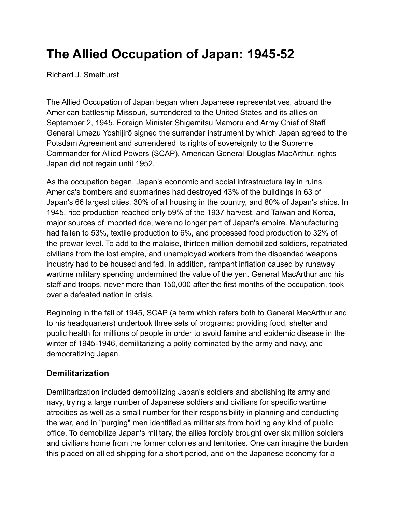# **The Allied Occupation of Japan: 1945-52**

Richard J. Smethurst

The Allied Occupation of Japan began when Japanese representatives, aboard the American battleship Missouri, surrendered to the United States and its allies on September 2, 1945. Foreign Minister Shigemitsu Mamoru and Army Chief of Staff General Umezu Yoshijirō signed the surrender instrument by which Japan agreed to the Potsdam Agreement and surrendered its rights of sovereignty to the Supreme Commander for Allied Powers (SCAP), American General Douglas MacArthur, rights Japan did not regain until 1952.

As the occupation began, Japan's economic and social infrastructure lay in ruins. America's bombers and submarines had destroyed 43% of the buildings in 63 of Japan's 66 largest cities, 30% of all housing in the country, and 80% of Japan's ships. In 1945, rice production reached only 59% of the 1937 harvest, and Taiwan and Korea, major sources of imported rice, were no longer part of Japan's empire. Manufacturing had fallen to 53%, textile production to 6%, and processed food production to 32% of the prewar level. To add to the malaise, thirteen million demobilized soldiers, repatriated civilians from the lost empire, and unemployed workers from the disbanded weapons industry had to be housed and fed. In addition, rampant inflation caused by runaway wartime military spending undermined the value of the yen. General MacArthur and his staff and troops, never more than 150,000 after the first months of the occupation, took over a defeated nation in crisis.

Beginning in the fall of 1945, SCAP (a term which refers both to General MacArthur and to his headquarters) undertook three sets of programs: providing food, shelter and public health for millions of people in order to avoid famine and epidemic disease in the winter of 1945-1946, demilitarizing a polity dominated by the army and navy, and democratizing Japan.

## **Demilitarization**

Demilitarization included demobilizing Japan's soldiers and abolishing its army and navy, trying a large number of Japanese soldiers and civilians for specific wartime atrocities as well as a small number for their responsibility in planning and conducting the war, and in "purging" men identified as militarists from holding any kind of public office. To demobilize Japan's military, the allies forcibly brought over six million soldiers and civilians home from the former colonies and territories. One can imagine the burden this placed on allied shipping for a short period, and on the Japanese economy for a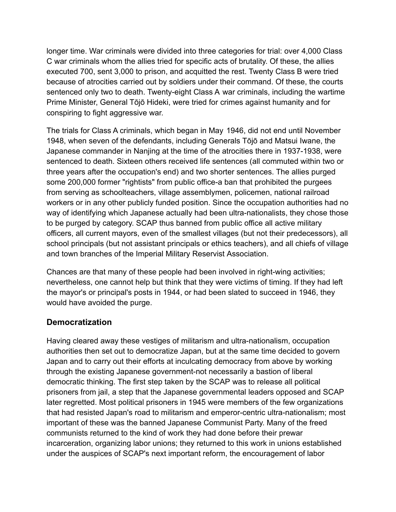longer time. War criminals were divided into three categories for trial: over 4,000 Class C war criminals whom the allies tried for specific acts of brutality. Of these, the allies executed 700, sent 3,000 to prison, and acquitted the rest. Twenty Class B were tried because of atrocities carried out by soldiers under their command. Of these, the courts sentenced only two to death. Twenty-eight Class A war criminals, including the wartime Prime Minister, General Tōjō Hideki, were tried for crimes against humanity and for conspiring to fight aggressive war.

The trials for Class A criminals, which began in May 1946, did not end until November 1948, when seven of the defendants, including Generals Tōjō and Matsui Iwane, the Japanese commander in Nanjing at the time of the atrocities there in 1937-1938, were sentenced to death. Sixteen others received life sentences (all commuted within two or three years after the occupation's end) and two shorter sentences. The allies purged some 200,000 former "rightists" from public office-a ban that prohibited the purgees from serving as schoolteachers, village assemblymen, policemen, national railroad workers or in any other publicly funded position. Since the occupation authorities had no way of identifying which Japanese actually had been ultra-nationalists, they chose those to be purged by category. SCAP thus banned from public office all active military officers, all current mayors, even of the smallest villages (but not their predecessors), all school principals (but not assistant principals or ethics teachers), and all chiefs of village and town branches of the Imperial Military Reservist Association.

Chances are that many of these people had been involved in right-wing activities; nevertheless, one cannot help but think that they were victims of timing. If they had left the mayor's or principal's posts in 1944, or had been slated to succeed in 1946, they would have avoided the purge.

### **Democratization**

Having cleared away these vestiges of militarism and ultra-nationalism, occupation authorities then set out to democratize Japan, but at the same time decided to govern Japan and to carry out their efforts at inculcating democracy from above by working through the existing Japanese government-not necessarily a bastion of liberal democratic thinking. The first step taken by the SCAP was to release all political prisoners from jail, a step that the Japanese governmental leaders opposed and SCAP later regretted. Most political prisoners in 1945 were members of the few organizations that had resisted Japan's road to militarism and emperor-centric ultra-nationalism; most important of these was the banned Japanese Communist Party. Many of the freed communists returned to the kind of work they had done before their prewar incarceration, organizing labor unions; they returned to this work in unions established under the auspices of SCAP's next important reform, the encouragement of labor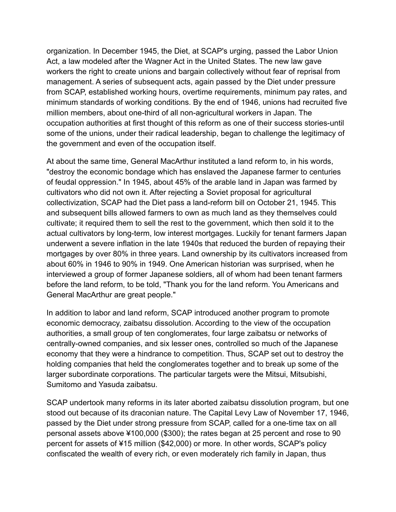organization. In December 1945, the Diet, at SCAP's urging, passed the Labor Union Act, a law modeled after the Wagner Act in the United States. The new law gave workers the right to create unions and bargain collectively without fear of reprisal from management. A series of subsequent acts, again passed by the Diet under pressure from SCAP, established working hours, overtime requirements, minimum pay rates, and minimum standards of working conditions. By the end of 1946, unions had recruited five million members, about one-third of all non-agricultural workers in Japan. The occupation authorities at first thought of this reform as one of their success stories-until some of the unions, under their radical leadership, began to challenge the legitimacy of the government and even of the occupation itself.

At about the same time, General MacArthur instituted a land reform to, in his words, "destroy the economic bondage which has enslaved the Japanese farmer to centuries of feudal oppression." In 1945, about 45% of the arable land in Japan was farmed by cultivators who did not own it. After rejecting a Soviet proposal for agricultural collectivization, SCAP had the Diet pass a land-reform bill on October 21, 1945. This and subsequent bills allowed farmers to own as much land as they themselves could cultivate; it required them to sell the rest to the government, which then sold it to the actual cultivators by long-term, low interest mortgages. Luckily for tenant farmers Japan underwent a severe inflation in the late 1940s that reduced the burden of repaying their mortgages by over 80% in three years. Land ownership by its cultivators increased from about 60% in 1946 to 90% in 1949. One American historian was surprised, when he interviewed a group of former Japanese soldiers, all of whom had been tenant farmers before the land reform, to be told, "Thank you for the land reform. You Americans and General MacArthur are great people."

In addition to labor and land reform, SCAP introduced another program to promote economic democracy, zaibatsu dissolution. According to the view of the occupation authorities, a small group of ten conglomerates, four large zaibatsu or networks of centrally-owned companies, and six lesser ones, controlled so much of the Japanese economy that they were a hindrance to competition. Thus, SCAP set out to destroy the holding companies that held the conglomerates together and to break up some of the larger subordinate corporations. The particular targets were the Mitsui, Mitsubishi, Sumitomo and Yasuda zaibatsu.

SCAP undertook many reforms in its later aborted zaibatsu dissolution program, but one stood out because of its draconian nature. The Capital Levy Law of November 17, 1946, passed by the Diet under strong pressure from SCAP, called for a one-time tax on all personal assets above ¥100,000 (\$300); the rates began at 25 percent and rose to 90 percent for assets of ¥15 million (\$42,000) or more. In other words, SCAP's policy confiscated the wealth of every rich, or even moderately rich family in Japan, thus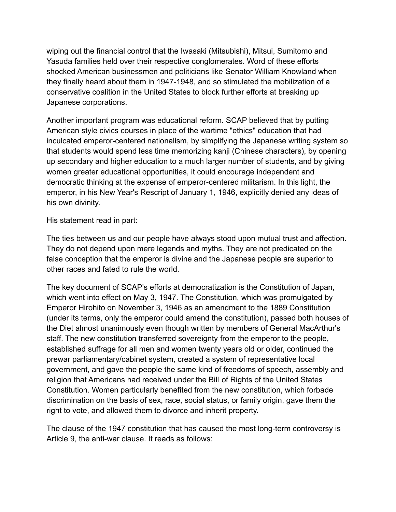wiping out the financial control that the Iwasaki (Mitsubishi), Mitsui, Sumitomo and Yasuda families held over their respective conglomerates. Word of these efforts shocked American businessmen and politicians like Senator William Knowland when they finally heard about them in 1947-1948, and so stimulated the mobilization of a conservative coalition in the United States to block further efforts at breaking up Japanese corporations.

Another important program was educational reform. SCAP believed that by putting American style civics courses in place of the wartime "ethics" education that had inculcated emperor-centered nationalism, by simplifying the Japanese writing system so that students would spend less time memorizing kanji (Chinese characters), by opening up secondary and higher education to a much larger number of students, and by giving women greater educational opportunities, it could encourage independent and democratic thinking at the expense of emperor-centered militarism. In this light, the emperor, in his New Year's Rescript of January 1, 1946, explicitly denied any ideas of his own divinity.

His statement read in part:

The ties between us and our people have always stood upon mutual trust and affection. They do not depend upon mere legends and myths. They are not predicated on the false conception that the emperor is divine and the Japanese people are superior to other races and fated to rule the world.

The key document of SCAP's efforts at democratization is the Constitution of Japan, which went into effect on May 3, 1947. The Constitution, which was promulgated by Emperor Hirohito on November 3, 1946 as an amendment to the 1889 Constitution (under its terms, only the emperor could amend the constitution), passed both houses of the Diet almost unanimously even though written by members of General MacArthur's staff. The new constitution transferred sovereignty from the emperor to the people, established suffrage for all men and women twenty years old or older, continued the prewar parliamentary/cabinet system, created a system of representative local government, and gave the people the same kind of freedoms of speech, assembly and religion that Americans had received under the Bill of Rights of the United States Constitution. Women particularly benefited from the new constitution, which forbade discrimination on the basis of sex, race, social status, or family origin, gave them the right to vote, and allowed them to divorce and inherit property.

The clause of the 1947 constitution that has caused the most long-term controversy is Article 9, the anti-war clause. It reads as follows: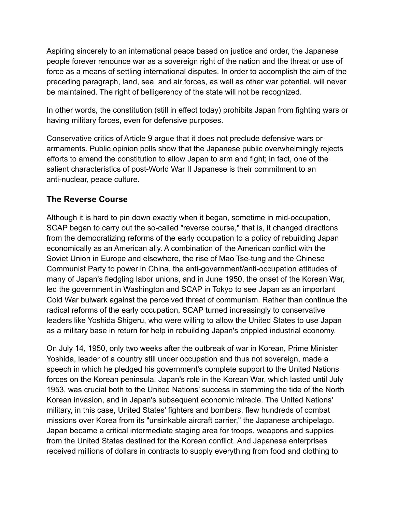Aspiring sincerely to an international peace based on justice and order, the Japanese people forever renounce war as a sovereign right of the nation and the threat or use of force as a means of settling international disputes. In order to accomplish the aim of the preceding paragraph, land, sea, and air forces, as well as other war potential, will never be maintained. The right of belligerency of the state will not be recognized.

In other words, the constitution (still in effect today) prohibits Japan from fighting wars or having military forces, even for defensive purposes.

Conservative critics of Article 9 argue that it does not preclude defensive wars or armaments. Public opinion polls show that the Japanese public overwhelmingly rejects efforts to amend the constitution to allow Japan to arm and fight; in fact, one of the salient characteristics of post-World War II Japanese is their commitment to an anti-nuclear, peace culture.

## **The Reverse Course**

Although it is hard to pin down exactly when it began, sometime in mid-occupation, SCAP began to carry out the so-called "reverse course," that is, it changed directions from the democratizing reforms of the early occupation to a policy of rebuilding Japan economically as an American ally. A combination of the American conflict with the Soviet Union in Europe and elsewhere, the rise of Mao Tse-tung and the Chinese Communist Party to power in China, the anti-government/anti-occupation attitudes of many of Japan's fledgling labor unions, and in June 1950, the onset of the Korean War, led the government in Washington and SCAP in Tokyo to see Japan as an important Cold War bulwark against the perceived threat of communism. Rather than continue the radical reforms of the early occupation, SCAP turned increasingly to conservative leaders like Yoshida Shigeru, who were willing to allow the United States to use Japan as a military base in return for help in rebuilding Japan's crippled industrial economy.

On July 14, 1950, only two weeks after the outbreak of war in Korean, Prime Minister Yoshida, leader of a country still under occupation and thus not sovereign, made a speech in which he pledged his government's complete support to the United Nations forces on the Korean peninsula. Japan's role in the Korean War, which lasted until July 1953, was crucial both to the United Nations' success in stemming the tide of the North Korean invasion, and in Japan's subsequent economic miracle. The United Nations' military, in this case, United States' fighters and bombers, flew hundreds of combat missions over Korea from its "unsinkable aircraft carrier," the Japanese archipelago. Japan became a critical intermediate staging area for troops, weapons and supplies from the United States destined for the Korean conflict. And Japanese enterprises received millions of dollars in contracts to supply everything from food and clothing to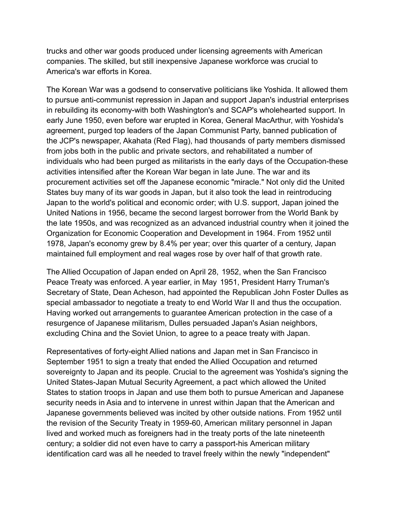trucks and other war goods produced under licensing agreements with American companies. The skilled, but still inexpensive Japanese workforce was crucial to America's war efforts in Korea.

The Korean War was a godsend to conservative politicians like Yoshida. It allowed them to pursue anti-communist repression in Japan and support Japan's industrial enterprises in rebuilding its economy-with both Washington's and SCAP's wholehearted support. In early June 1950, even before war erupted in Korea, General MacArthur, with Yoshida's agreement, purged top leaders of the Japan Communist Party, banned publication of the JCP's newspaper, Akahata (Red Flag), had thousands of party members dismissed from jobs both in the public and private sectors, and rehabilitated a number of individuals who had been purged as militarists in the early days of the Occupation-these activities intensified after the Korean War began in late June. The war and its procurement activities set off the Japanese economic "miracle." Not only did the United States buy many of its war goods in Japan, but it also took the lead in reintroducing Japan to the world's political and economic order; with U.S. support, Japan joined the United Nations in 1956, became the second largest borrower from the World Bank by the late 1950s, and was recognized as an advanced industrial country when it joined the Organization for Economic Cooperation and Development in 1964. From 1952 until 1978, Japan's economy grew by 8.4% per year; over this quarter of a century, Japan maintained full employment and real wages rose by over half of that growth rate.

The Allied Occupation of Japan ended on April 28, 1952, when the San Francisco Peace Treaty was enforced. A year earlier, in May 1951, President Harry Truman's Secretary of State, Dean Acheson, had appointed the Republican John Foster Dulles as special ambassador to negotiate a treaty to end World War II and thus the occupation. Having worked out arrangements to guarantee American protection in the case of a resurgence of Japanese militarism, Dulles persuaded Japan's Asian neighbors, excluding China and the Soviet Union, to agree to a peace treaty with Japan.

Representatives of forty-eight Allied nations and Japan met in San Francisco in September 1951 to sign a treaty that ended the Allied Occupation and returned sovereignty to Japan and its people. Crucial to the agreement was Yoshida's signing the United States-Japan Mutual Security Agreement, a pact which allowed the United States to station troops in Japan and use them both to pursue American and Japanese security needs in Asia and to intervene in unrest within Japan that the American and Japanese governments believed was incited by other outside nations. From 1952 until the revision of the Security Treaty in 1959-60, American military personnel in Japan lived and worked much as foreigners had in the treaty ports of the late nineteenth century; a soldier did not even have to carry a passport-his American military identification card was all he needed to travel freely within the newly "independent"